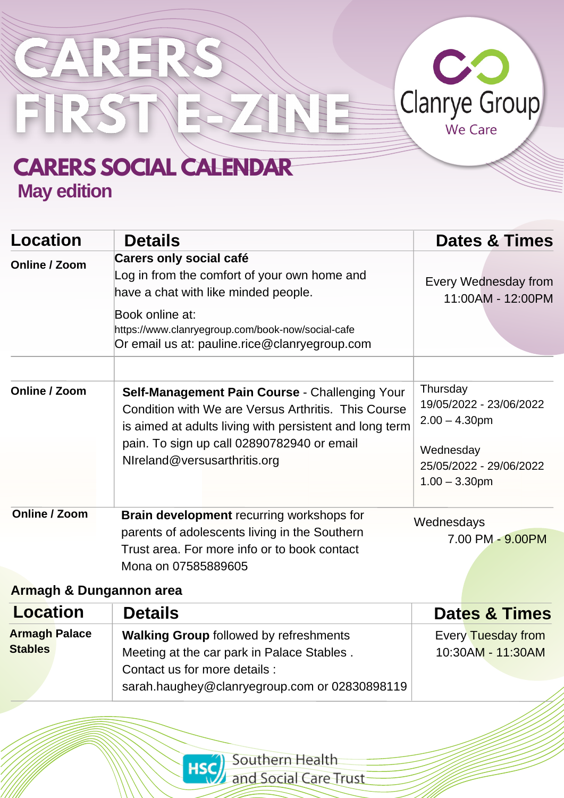

GARER

FRSTNE

| <b>Location</b> | <b>Details</b>                                                                                                                                                   | <b>Dates &amp; Times</b>                                 |
|-----------------|------------------------------------------------------------------------------------------------------------------------------------------------------------------|----------------------------------------------------------|
| Online / Zoom   | <b>Carers only social café</b><br>Log in from the comfort of your own home and<br>have a chat with like minded people.                                           | Every Wednesday from<br>11:00AM - 12:00PM                |
|                 | Book online at:<br>https://www.clanryegroup.com/book-now/social-cafe<br>Or email us at: pauline.rice@clanryegroup.com                                            |                                                          |
|                 |                                                                                                                                                                  |                                                          |
| Online / Zoom   | Self-Management Pain Course - Challenging Your<br>Condition with We are Versus Arthritis. This Course<br>is aimed at adults living with persistent and long term | Thursday<br>19/05/2022 - 23/06/2022<br>$2.00 - 4.30$ pm  |
|                 | pain. To sign up call 02890782940 or email<br>NIreland@versusarthritis.org                                                                                       | Wednesday<br>25/05/2022 - 29/06/2022<br>$1.00 - 3.30$ pm |
| Online / Zoom   | <b>Brain development</b> recurring workshops for                                                                                                                 | Wednesdays                                               |
|                 | parents of adolescents living in the Southern<br>Trust area. For more info or to book contact<br>Mona on 07585889605                                             | 7.00 PM - 9.00PM                                         |

ZENEE

#### **Armagh & Dungannon area**

| <b>Location</b>      | <b>Details</b>                                | <b>Dates &amp; Times</b> |
|----------------------|-----------------------------------------------|--------------------------|
| <b>Armagh Palace</b> | <b>Walking Group followed by refreshments</b> | Every Tuesday from       |
| <b>Stables</b>       | Meeting at the car park in Palace Stables.    | 10:30AM - 11:30AM        |
|                      | Contact us for more details :                 |                          |
|                      | sarah.haughey@clanryegroup.com or 02830898119 |                          |

Southern Health and Social Care Trust

**HSC**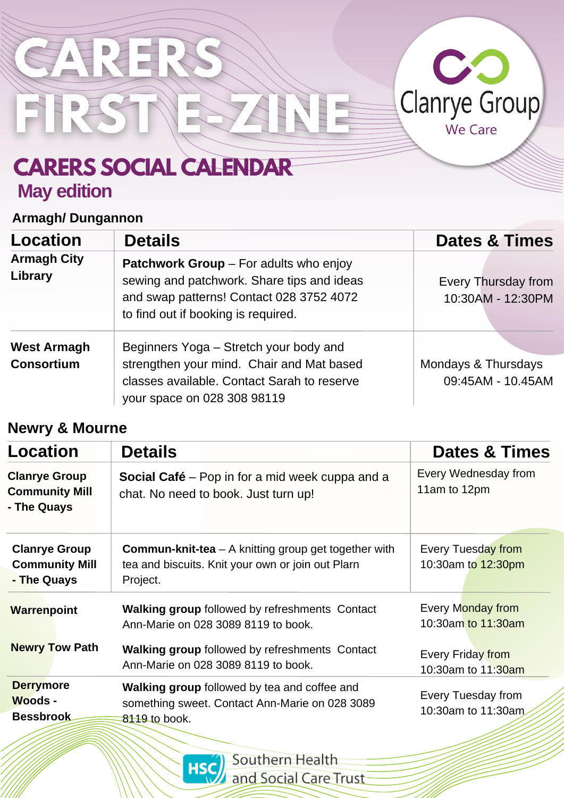

### **Armagh/ Dungannon**

SARE

FIRSTNE

| Location                                | <b>Details</b>                                                                                                                                                                 | <b>Dates &amp; Times</b>                 |
|-----------------------------------------|--------------------------------------------------------------------------------------------------------------------------------------------------------------------------------|------------------------------------------|
| <b>Armagh City</b><br>Library           | <b>Patchwork Group</b> – For adults who enjoy<br>sewing and patchwork. Share tips and ideas<br>and swap patterns! Contact 028 3752 4072<br>to find out if booking is required. | Every Thursday from<br>10:30AM - 12:30PM |
| <b>West Armagh</b><br><b>Consortium</b> | Beginners Yoga – Stretch your body and<br>strengthen your mind. Chair and Mat based<br>classes available. Contact Sarah to reserve<br>your space on 028 308 98119              | Mondays & Thursdays<br>09:45AM - 10.45AM |

ASNEE

### **Newry & Mourne**

| <b>Location</b>                                              | <b>Details</b>                                                                                                                 | <b>Dates &amp; Times</b>                       |  |
|--------------------------------------------------------------|--------------------------------------------------------------------------------------------------------------------------------|------------------------------------------------|--|
| <b>Clanrye Group</b><br><b>Community Mill</b><br>- The Quays | <b>Social Café</b> – Pop in for a mid week cuppa and a<br>chat. No need to book. Just turn up!                                 | Every Wednesday from<br>11am to 12pm           |  |
| <b>Clanrye Group</b><br><b>Community Mill</b><br>- The Quays | <b>Commun-knit-tea</b> $-$ A knitting group get together with<br>tea and biscuits. Knit your own or join out Plarn<br>Project. | Every Tuesday from<br>10:30am to 12:30pm       |  |
| <b>Warrenpoint</b>                                           | <b>Walking group followed by refreshments Contact</b><br>Ann-Marie on 028 3089 8119 to book.                                   | <b>Every Monday from</b><br>10:30am to 11:30am |  |
| <b>Newry Tow Path</b>                                        | Walking group followed by refreshments Contact<br>Ann-Marie on 028 3089 8119 to book.                                          | Every Friday from<br>10:30am to 11:30am        |  |
| <b>Derrymore</b><br><b>Woods -</b><br><b>Bessbrook</b>       | <b>Walking group followed by tea and coffee and</b><br>something sweet. Contact Ann-Marie on 028 3089<br>8119 to book.         | Every Tuesday from<br>10:30am to 11:30am       |  |

Southern Health **HSC** and Social Care Trust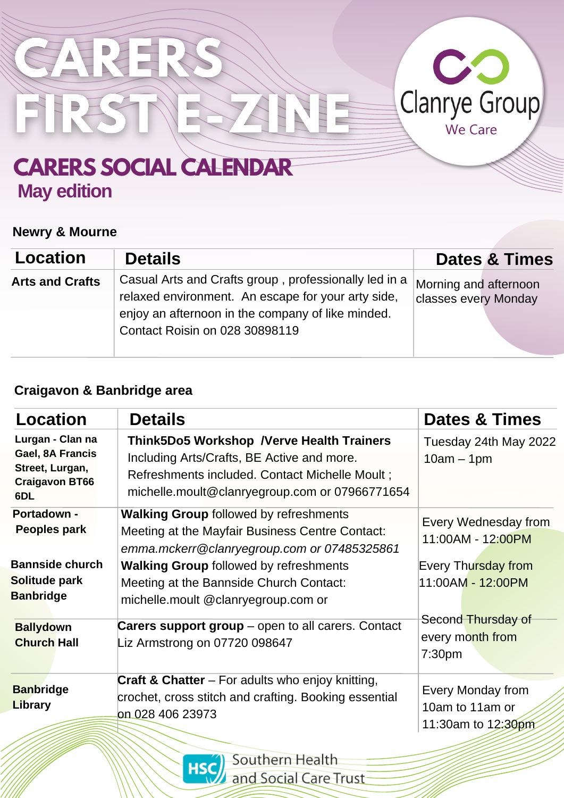

#### **Newry & Mourne**

| Location               | <b>Details</b>                                                                                                                                                                                     | <b>Dates &amp; Times</b>                      |
|------------------------|----------------------------------------------------------------------------------------------------------------------------------------------------------------------------------------------------|-----------------------------------------------|
| <b>Arts and Crafts</b> | Casual Arts and Crafts group, professionally led in a<br>relaxed environment. An escape for your arty side,<br>enjoy an afternoon in the company of like minded.<br>Contact Roisin on 028 30898119 | Morning and afternoon<br>classes every Monday |

### **Craigavon & Banbridge area**

| <b>Location</b>                                                                         | <b>Details</b>                                                                                                                                                                                      | <b>Dates &amp; Times</b>                                     |  |
|-----------------------------------------------------------------------------------------|-----------------------------------------------------------------------------------------------------------------------------------------------------------------------------------------------------|--------------------------------------------------------------|--|
| Lurgan - Clan na<br>Gael, 8A Francis<br>Street, Lurgan,<br><b>Craigavon BT66</b><br>6DL | <b>Think5Do5 Workshop /Verve Health Trainers</b><br>Including Arts/Crafts, BE Active and more.<br>Refreshments included. Contact Michelle Moult ;<br>michelle.moult@clanryegroup.com or 07966771654 | Tuesday 24th May 2022<br>$10am - 1pm$                        |  |
| Portadown -<br>Peoples park                                                             | <b>Walking Group followed by refreshments</b><br>Meeting at the Mayfair Business Centre Contact:<br>emma.mckerr@clanryegroup.com or 07485325861                                                     | Every Wednesday from<br>11:00AM - 12:00PM                    |  |
| <b>Bannside church</b><br>Solitude park<br><b>Banbridge</b>                             | <b>Walking Group followed by refreshments</b><br>Meeting at the Bannside Church Contact:<br>michelle.moult @clanryegroup.com or                                                                     | Every Thursday from<br>11:00AM - 12:00PM                     |  |
| <b>Ballydown</b><br><b>Church Hall</b>                                                  | <b>Carers support group</b> – open to all carers. Contact<br>Liz Armstrong on 07720 098647                                                                                                          | Second Thursday of<br>every month from<br>7:30 <sub>pm</sub> |  |
| <b>Banbridge</b><br>Library                                                             | <b>Craft &amp; Chatter</b> – For adults who enjoy knitting,<br>crochet, cross stitch and crafting. Booking essential<br>on 028 406 23973                                                            | Every Monday from<br>10am to 11am or<br>11:30am to 12:30pm   |  |

Southern Health **HSC** and Social Care Trust